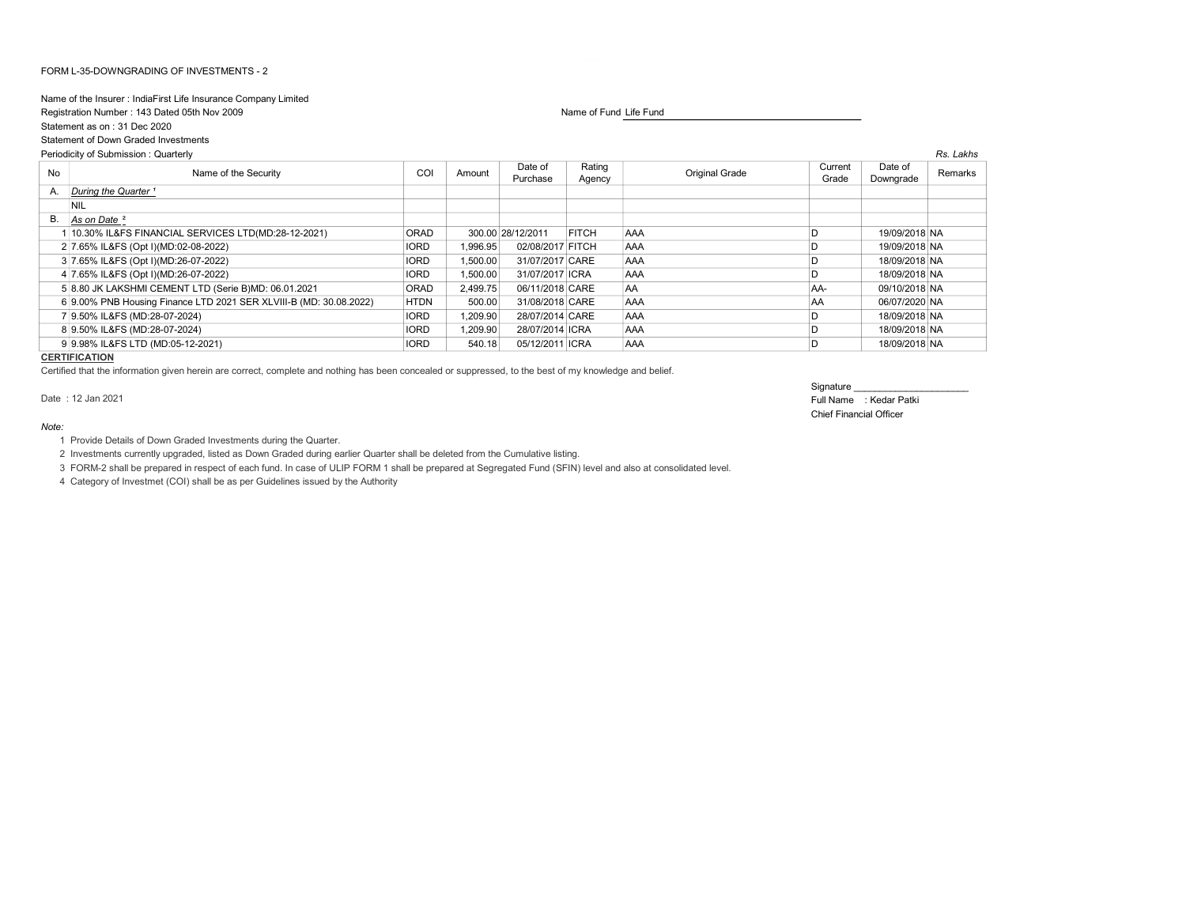## FORM L-35-DOWNGRADING OF INVESTMENTS - 2

## Name of the Insurer : IndiaFirst Life Insurance Company Limited

Registration Number : 143 Dated 05th Nov 2009 Name of Fund Life Fund Life Fund Life Fund

Statement as on : 31 Dec 2020

Statement of Down Graded Investments

Periodicity of Submission : Quarterly Rs. Lakhs No **Name of the Security** COI Amount Date of Purchase Rating Rating Current<br>Agency Original Grade Current<br>Grade Grade Date of Date of Remarks<br>Downgrade Remarks A. During the Quarter<sup>1</sup> NIL B. As on Date <sup>2</sup> 1 10.30% IL&FS FINANCIAL SERVICES LTD(MD:28-12-2021) ORAD 300.00 28/12/2011 FITCH AAA D 19/09/2018 NA 2 7.65% IL&FS (Opt I)(MD:02-08-2022) IORD 1,996.95 02/08/2017 FITCH AAA D 19/09/2018 NA 3 7.65% IL&FS (Opt I)(MD:26-07-2022) IORD 1,500.00 31/07/2017 CARE AAA D D 18/09/2018 NA 4 7.65% IL&FS (Opt I)(MD:26-07-2022) IORD 1,500.00 31/07/2017 ICRA AAA D 10RD 1,500.00 31/07/2017 ICRA AAA 5 8.80 JK LAKSHMI CEMENT LTD (Serie B)MD: 06.01.2021 ORAD 2,499.75 06/11/2018 CARE AA AA- 09/10/2018 NA 6 9.00% PNB Housing Finance LTD 2021 SER XLVIII-B (MD: 30.08.2022) HTDN 500.00 31/08/2018 CARE AAA AA 06/07/2020 NA 7 9.50% IL&FS (MD:28-07-2024) IORD 1,209.90 28/07/2014 CARE AAA D 18/09/2018 NA 8 9.50% IL&FS (MD:28-07-2024) 28/07/2014 ICRA AAA AAA D 18/09/2018 NA 9 9.98% IL&FS LTD (MD:05-12-2021) IORD 540.18 05/12/2011 ICRA AAA D 18/09/2018 NA

## **CERTIFICATION**

Note:

Certified that the information given herein are correct, complete and nothing has been concealed or suppressed, to the best of my knowledge and belief.

Signature

Date : 12 Jan 2021 Full Name : Kedar Patki Chief Financial Officer

1 Provide Details of Down Graded Investments during the Quarter.

2 Investments currently upgraded, listed as Down Graded during earlier Quarter shall be deleted from the Cumulative listing.

3 FORM-2 shall be prepared in respect of each fund. In case of ULIP FORM 1 shall be prepared at Segregated Fund (SFIN) level and also at consolidated level.

4 Category of Investmet (COI) shall be as per Guidelines issued by the Authority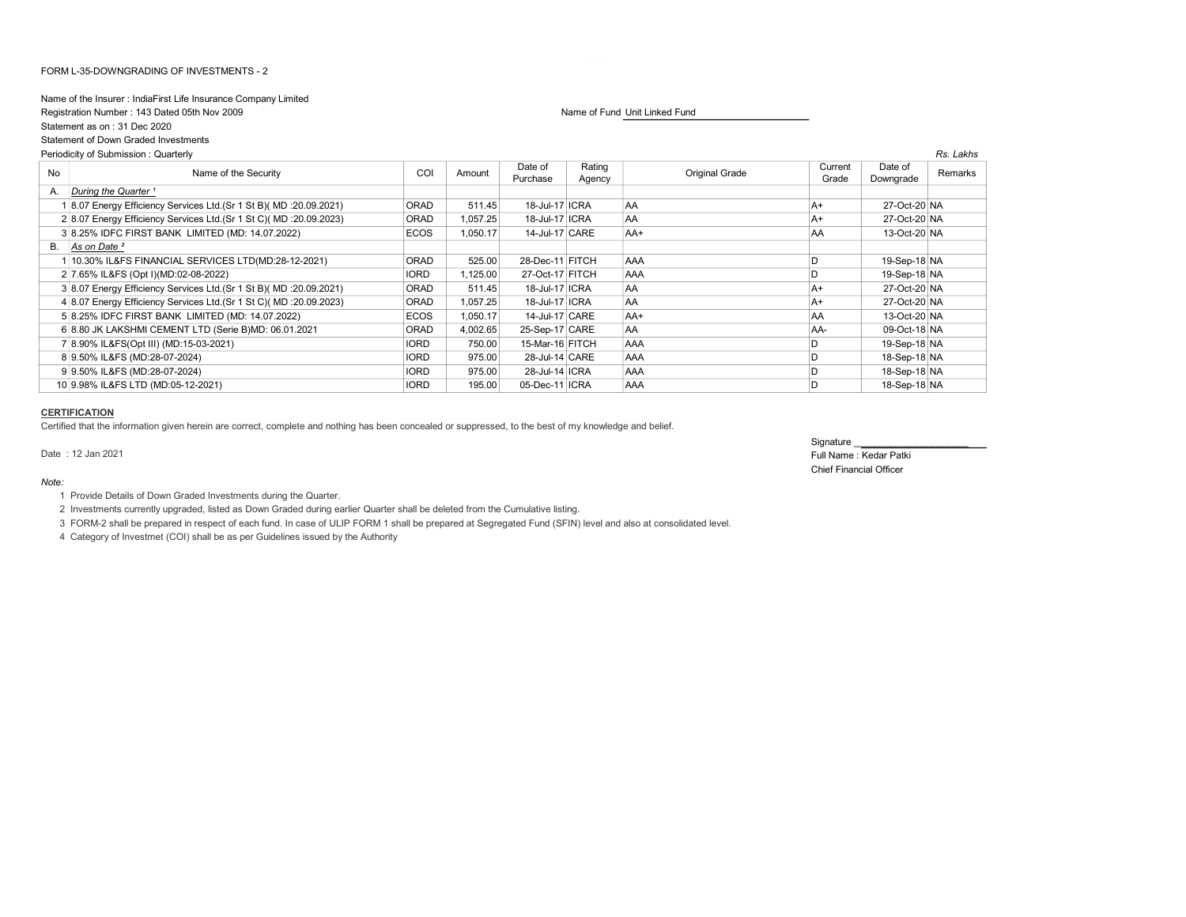## FORM L-35-DOWNGRADING OF INVESTMENTS - 2

## Name of the Insurer : IndiaFirst Life Insurance Company Limited

Statement as on : 31 Dec 2020

Statement of Down Graded Investments

## Registration Number : 143 Dated 05th Nov 2009 Name of Fund Unit Linked Fund Unit Linked Fund Unit Linked Fund

| Periodicity of Submission: Quarterly |                                                                      |             |          |                     |                  |                | Rs. Lakhs        |                      |         |
|--------------------------------------|----------------------------------------------------------------------|-------------|----------|---------------------|------------------|----------------|------------------|----------------------|---------|
| No                                   | Name of the Security                                                 | COI         | Amount   | Date of<br>Purchase | Rating<br>Agency | Original Grade | Current<br>Grade | Date of<br>Downgrade | Remarks |
| A.                                   | During the Quarter <sup>1</sup>                                      |             |          |                     |                  |                |                  |                      |         |
|                                      | 8.07 Energy Efficiency Services Ltd. (Sr 1 St B) (MD : 20.09.2021)   | <b>ORAD</b> | 511.45   | 18-Jul-17 ICRA      |                  | AA             | A+               | 27-Oct-20 NA         |         |
|                                      | 2 8.07 Energy Efficiency Services Ltd. (Sr 1 St C) (MD : 20.09.2023) | <b>ORAD</b> | 1,057.25 | 18-Jul-17 ICRA      |                  | <b>AA</b>      | A+               | 27-Oct-20 NA         |         |
|                                      | 3 8.25% IDFC FIRST BANK LIMITED (MD: 14.07.2022)                     | <b>ECOS</b> | 1,050.17 | 14-Jul-17 CARE      |                  | AA+            | <b>AA</b>        | 13-Oct-20 NA         |         |
|                                      | B. As on Date <sup>2</sup>                                           |             |          |                     |                  |                |                  |                      |         |
|                                      | 10.30% IL&FS FINANCIAL SERVICES LTD(MD:28-12-2021)                   | ORAD        | 525.00   | 28-Dec-11 FITCH     |                  | <b>AAA</b>     | D                | 19-Sep-18 NA         |         |
|                                      | 2 7.65% IL&FS (Opt I)(MD:02-08-2022)                                 | <b>IORD</b> | 1,125.00 | 27-Oct-17 FITCH     |                  | AAA            |                  | 19-Sep-18 NA         |         |
|                                      | 3 8.07 Energy Efficiency Services Ltd.(Sr 1 St B)( MD :20.09.2021)   | <b>ORAD</b> | 511.45   | 18-Jul-17 ICRA      |                  | AA             | $A+$             | 27-Oct-20 NA         |         |
|                                      | 4 8.07 Energy Efficiency Services Ltd. (Sr 1 St C) (MD : 20.09.2023) | ORAD        | 1,057.25 | 18-Jul-17 ICRA      |                  | AA             | A+               | 27-Oct-20 NA         |         |
|                                      | 5 8.25% IDFC FIRST BANK LIMITED (MD: 14.07.2022)                     | ECOS        | 1,050.17 | 14-Jul-17 CARE      |                  | AA+            | <b>AA</b>        | 13-Oct-20 NA         |         |
|                                      | 6 8.80 JK LAKSHMI CEMENT LTD (Serie B)MD: 06.01.2021                 | ORAD        | 4,002.65 | 25-Sep-17 CARE      |                  | <b>AA</b>      | AA-              | 09-Oct-18 NA         |         |
|                                      | 7 8.90% IL&FS(Opt III) (MD:15-03-2021)                               | <b>IORD</b> | 750.00   | 15-Mar-16 FITCH     |                  | AAA            |                  | 19-Sep-18 NA         |         |
|                                      | 8 9.50% IL&FS (MD:28-07-2024)                                        | <b>IORD</b> | 975.00   | 28-Jul-14 CARE      |                  | <b>AAA</b>     |                  | 18-Sep-18 NA         |         |
|                                      | 9 9.50% IL&FS (MD:28-07-2024)                                        | <b>IORD</b> | 975.00   | 28-Jul-14 ICRA      |                  | <b>AAA</b>     |                  | 18-Sep-18 NA         |         |
|                                      | 10 9.98% IL&FS LTD (MD:05-12-2021)                                   | <b>IORD</b> | 195.00   | 05-Dec-11 ICRA      |                  | AAA            |                  | 18-Sep-18 NA         |         |

### **CERTIFICATION**

Certified that the information given herein are correct, complete and nothing has been concealed or suppressed, to the best of my knowledge and belief.

Note:

Signature \_ Date : 12 Jan 2021 Full Name : Kedar Patki Chief Financial Officer

1 Provide Details of Down Graded Investments during the Quarter.

2 Investments currently upgraded, listed as Down Graded during earlier Quarter shall be deleted from the Cumulative listing.

3 FORM-2 shall be prepared in respect of each fund. In case of ULIP FORM 1 shall be prepared at Segregated Fund (SFIN) level and also at consolidated level.

4 Category of Investmet (COI) shall be as per Guidelines issued by the Authority